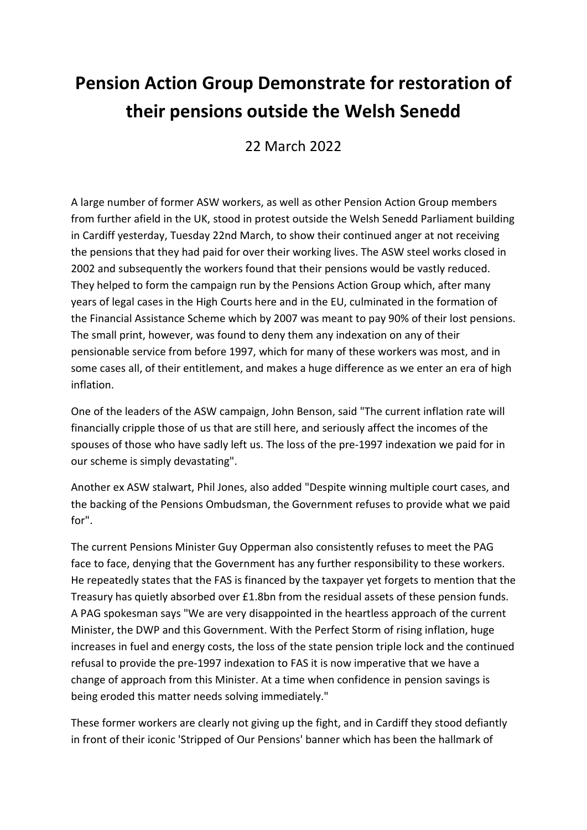## **Pension Action Group Demonstrate for restoration of their pensions outside the Welsh Senedd**

22 March 2022

A large number of former ASW workers, as well as other Pension Action Group members from further afield in the UK, stood in protest outside the Welsh Senedd Parliament building in Cardiff yesterday, Tuesday 22nd March, to show their continued anger at not receiving the pensions that they had paid for over their working lives. The ASW steel works closed in 2002 and subsequently the workers found that their pensions would be vastly reduced. They helped to form the campaign run by the Pensions Action Group which, after many years of legal cases in the High Courts here and in the EU, culminated in the formation of the Financial Assistance Scheme which by 2007 was meant to pay 90% of their lost pensions. The small print, however, was found to deny them any indexation on any of their pensionable service from before 1997, which for many of these workers was most, and in some cases all, of their entitlement, and makes a huge difference as we enter an era of high inflation.

One of the leaders of the ASW campaign, John Benson, said "The current inflation rate will financially cripple those of us that are still here, and seriously affect the incomes of the spouses of those who have sadly left us. The loss of the pre-1997 indexation we paid for in our scheme is simply devastating".

Another ex ASW stalwart, Phil Jones, also added "Despite winning multiple court cases, and the backing of the Pensions Ombudsman, the Government refuses to provide what we paid for".

The current Pensions Minister Guy Opperman also consistently refuses to meet the PAG face to face, denying that the Government has any further responsibility to these workers. He repeatedly states that the FAS is financed by the taxpayer yet forgets to mention that the Treasury has quietly absorbed over £1.8bn from the residual assets of these pension funds. A PAG spokesman says "We are very disappointed in the heartless approach of the current Minister, the DWP and this Government. With the Perfect Storm of rising inflation, huge increases in fuel and energy costs, the loss of the state pension triple lock and the continued refusal to provide the pre-1997 indexation to FAS it is now imperative that we have a change of approach from this Minister. At a time when confidence in pension savings is being eroded this matter needs solving immediately."

These former workers are clearly not giving up the fight, and in Cardiff they stood defiantly in front of their iconic 'Stripped of Our Pensions' banner which has been the hallmark of